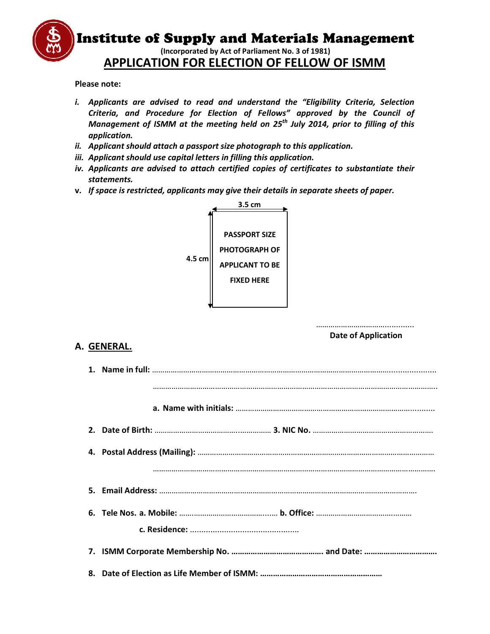

**Please note:** 

- i. Applicants are advised to read and understand the "Eligibility Criteria, Selection *Criteria, and Procedure for Election of Fellows" approved by the Council of Criteria, and Procedure for Election of Fellows" approved by the Council of Management of ISMM at the meeting held on 25<sup>th</sup> July 2014, prior to filling of this application.<br>Applicant should attach a passport size photogr application.*
- *ii. Applicant should attach a passport size photograph to this application.*
- *iii. Applicant should use capital letters in filling this application.*
- *iv. Applicants are advised to attach certified copies of certificates to substantiate their statements. ld use capital letters in filling this application.*<br>*advised to attach certified copies of certificates to substa*<br>*icted, applicants may give their details in separate sheets of*
- **v.** *If space is restricted, applicants may give their details in separate sheets of paper.*



# **A. GENERAL.**

|                 | <b>PASSPORT SIZE</b>   |                            |
|-----------------|------------------------|----------------------------|
|                 | PHOTOGRAPH OF          |                            |
| 4.5 cm          | <b>APPLICANT TO BE</b> |                            |
|                 | <b>FIXED HERE</b>      |                            |
|                 |                        |                            |
|                 |                        |                            |
|                 |                        |                            |
|                 |                        | <b>Date of Application</b> |
| <b>GENERAL.</b> |                        |                            |
|                 |                        |                            |
|                 |                        |                            |
|                 |                        |                            |
|                 |                        |                            |
|                 |                        |                            |
|                 |                        |                            |
|                 |                        |                            |
|                 |                        |                            |
|                 |                        |                            |
|                 |                        |                            |
|                 |                        |                            |
|                 |                        |                            |
|                 |                        |                            |
|                 |                        |                            |
|                 |                        |                            |
|                 |                        |                            |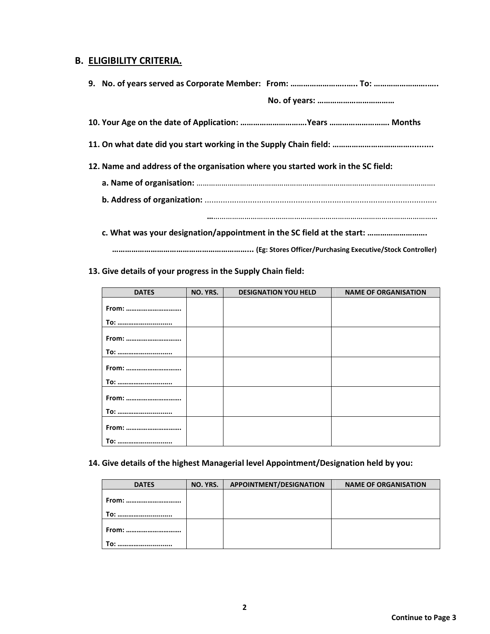## **B. ELIGIBILITY CRITERIA.**

| 10. Your Age on the date of Application: Years  Months                           |                                                                        |
|----------------------------------------------------------------------------------|------------------------------------------------------------------------|
|                                                                                  |                                                                        |
| 12. Name and address of the organisation where you started work in the SC field: |                                                                        |
|                                                                                  |                                                                        |
|                                                                                  |                                                                        |
|                                                                                  |                                                                        |
|                                                                                  | c. What was your designation/appointment in the SC field at the start: |
|                                                                                  |                                                                        |

## **13. Give details of your progress in the Supply Chain field:**

| <b>DATES</b> | NO. YRS. | <b>DESIGNATION YOU HELD</b> | <b>NAME OF ORGANISATION</b> |
|--------------|----------|-----------------------------|-----------------------------|
|              |          |                             |                             |
| From:        |          |                             |                             |
| <b>To: </b>  |          |                             |                             |
|              |          |                             |                             |
| From:        |          |                             |                             |
| <b>To: </b>  |          |                             |                             |
|              |          |                             |                             |
| From:        |          |                             |                             |
| <b>To: </b>  |          |                             |                             |
|              |          |                             |                             |
| From:        |          |                             |                             |
| <b>To: </b>  |          |                             |                             |
|              |          |                             |                             |
| From:        |          |                             |                             |
| <b>To: </b>  |          |                             |                             |

### **14. Give details of the highest Managerial level Appointment/Designation held by you:**

| <b>DATES</b> | NO. YRS. | <b>APPOINTMENT/DESIGNATION</b> | <b>NAME OF ORGANISATION</b> |
|--------------|----------|--------------------------------|-----------------------------|
| From:<br>To: |          |                                |                             |
| From:        |          |                                |                             |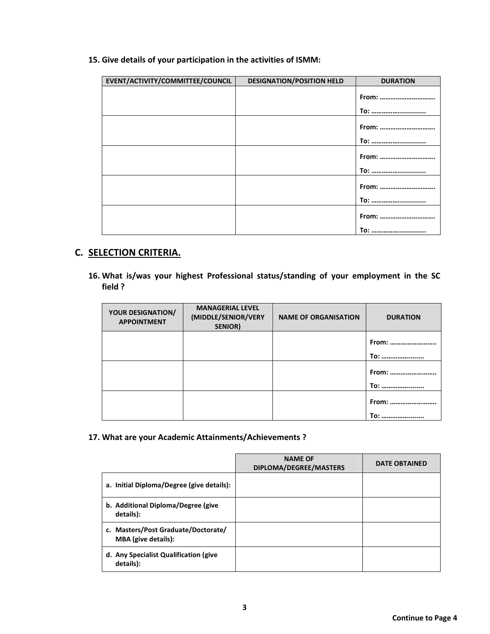**15. Give details of your participation in the activities of ISMM:** 

| EVENT/ACTIVITY/COMMITTEE/COUNCIL | <b>DESIGNATION/POSITION HELD</b> | <b>DURATION</b> |
|----------------------------------|----------------------------------|-----------------|
|                                  |                                  | From:           |
|                                  |                                  | To:             |
|                                  |                                  | From:           |
|                                  |                                  | <b>To: </b>     |
|                                  |                                  | From:           |
|                                  |                                  | To:             |
|                                  |                                  | From:           |
|                                  |                                  | To:             |
|                                  |                                  | From:           |
|                                  |                                  | <b>To: </b>     |

# **C. SELECTION CRITERIA.**

**16. What is/was your highest Professional status/standing of your employment in the SC field ?** 

| <b>YOUR DESIGNATION/</b><br><b>APPOINTMENT</b> | <b>MANAGERIAL LEVEL</b><br>(MIDDLE/SENIOR/VERY<br><b>SENIOR)</b> | <b>NAME OF ORGANISATION</b> | <b>DURATION</b>      |
|------------------------------------------------|------------------------------------------------------------------|-----------------------------|----------------------|
|                                                |                                                                  |                             | From:<br><b>To: </b> |
|                                                |                                                                  |                             | From:<br><b>To: </b> |
|                                                |                                                                  |                             | From:<br><b>To: </b> |

**17. What are your Academic Attainments/Achievements ?** 

|                                                                   | <b>NAME OF</b><br>DIPLOMA/DEGREE/MASTERS | <b>DATE OBTAINED</b> |
|-------------------------------------------------------------------|------------------------------------------|----------------------|
| a. Initial Diploma/Degree (give details):                         |                                          |                      |
| b. Additional Diploma/Degree (give<br>details):                   |                                          |                      |
| c. Masters/Post Graduate/Doctorate/<br><b>MBA</b> (give details): |                                          |                      |
| d. Any Specialist Qualification (give<br>details):                |                                          |                      |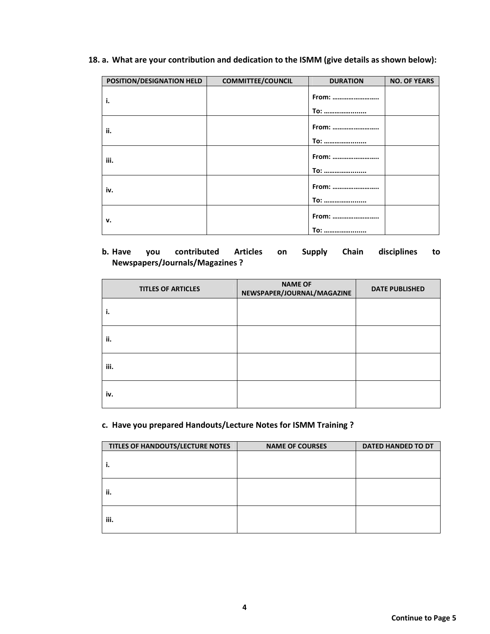### **18. a. What are your contribution and dedication to the ISMM (give details as shown below):**

| POSITION/DESIGNATION HELD | <b>COMMITTEE/COUNCIL</b> | <b>DURATION</b>      | <b>NO. OF YEARS</b> |
|---------------------------|--------------------------|----------------------|---------------------|
| i.                        |                          | From:<br><b>To: </b> |                     |
| ii.                       |                          | From:<br><b>To: </b> |                     |
| iii.                      |                          | From:<br><b>To: </b> |                     |
| iv.                       |                          | From:<br><b>To: </b> |                     |
| v.                        |                          | From:<br><b>To: </b> |                     |

## **b. Have you contributed Articles on Supply Chain disciplines to Newspapers/Journals/Magazines ?**

| <b>TITLES OF ARTICLES</b> | <b>NAME OF</b><br>NEWSPAPER/JOURNAL/MAGAZINE | <b>DATE PUBLISHED</b> |
|---------------------------|----------------------------------------------|-----------------------|
| ۱.                        |                                              |                       |
| ii.                       |                                              |                       |
| iii.                      |                                              |                       |
| iv.                       |                                              |                       |

## **c. Have you prepared Handouts/Lecture Notes for ISMM Training ?**

| TITLES OF HANDOUTS/LECTURE NOTES | <b>NAME OF COURSES</b> | <b>DATED HANDED TO DT</b> |
|----------------------------------|------------------------|---------------------------|
| ۱.                               |                        |                           |
| ii.                              |                        |                           |
| iii.                             |                        |                           |